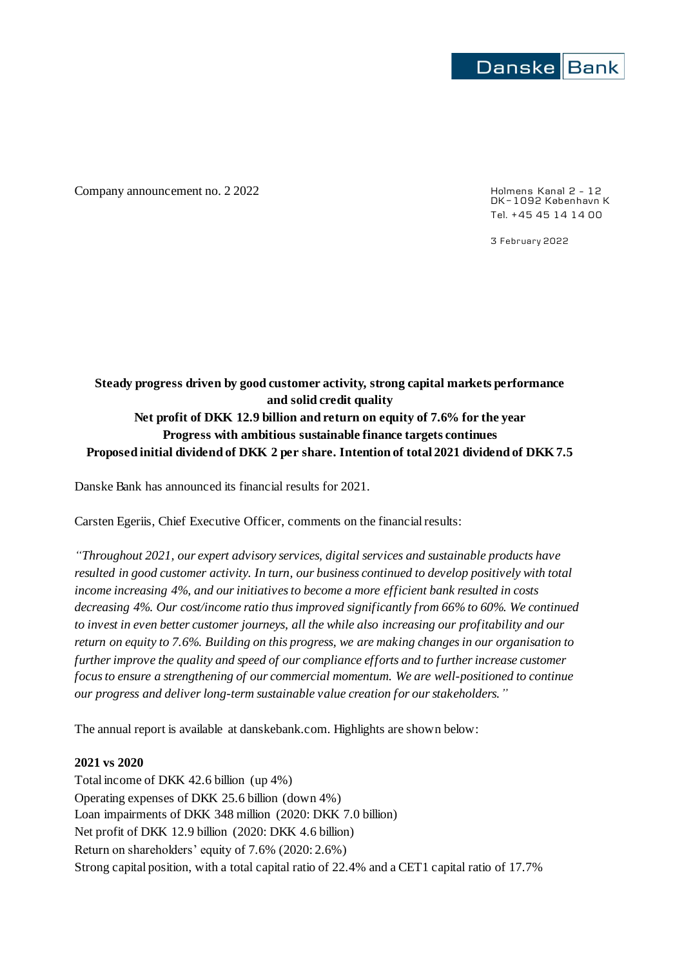

Company announcement no. 2 2022 <br>
Holmens Kanal 2 - 12

DK-1092 København K Tel. +45 45 14 14 00

3 February 2022

# **Steady progress driven by good customer activity, strong capital markets performance and solid credit quality Net profit of DKK 12.9 billion and return on equity of 7.6% for the year Progress with ambitious sustainable finance targets continues Proposed initial dividend of DKK 2 per share. Intention of total 2021 dividend of DKK 7.5**

Danske Bank has announced its financial results for 2021.

Carsten Egeriis, Chief Executive Officer, comments on the financial results:

*"Throughout 2021, our expert advisory services, digital services and sustainable products have resulted in good customer activity. In turn, our business continued to develop positively with total income increasing 4%, and our initiatives to become a more efficient bank resulted in costs decreasing 4%. Our cost/income ratio thusimproved significantly from 66% to 60%. We continued to invest in even better customer journeys, all the while also increasing our profitability and our return on equity to 7.6%. Building on this progress, we are making changes in our organisation to further improve the quality and speed of our compliance efforts and to further increase customer focus to ensure a strengthening of our commercial momentum. We are well-positioned to continue our progress and deliver long-term sustainable value creation for our stakeholders."*

The annual report is available at danskebank.com. Highlights are shown below:

#### **2021 vs 2020**

Total income of DKK 42.6 billion (up 4%) Operating expenses of DKK 25.6 billion (down 4%) Loan impairments of DKK 348 million (2020: DKK 7.0 billion) Net profit of DKK 12.9 billion (2020: DKK 4.6 billion) Return on shareholders' equity of 7.6% (2020: 2.6%) Strong capital position, with a total capital ratio of 22.4% and a CET1 capital ratio of 17.7%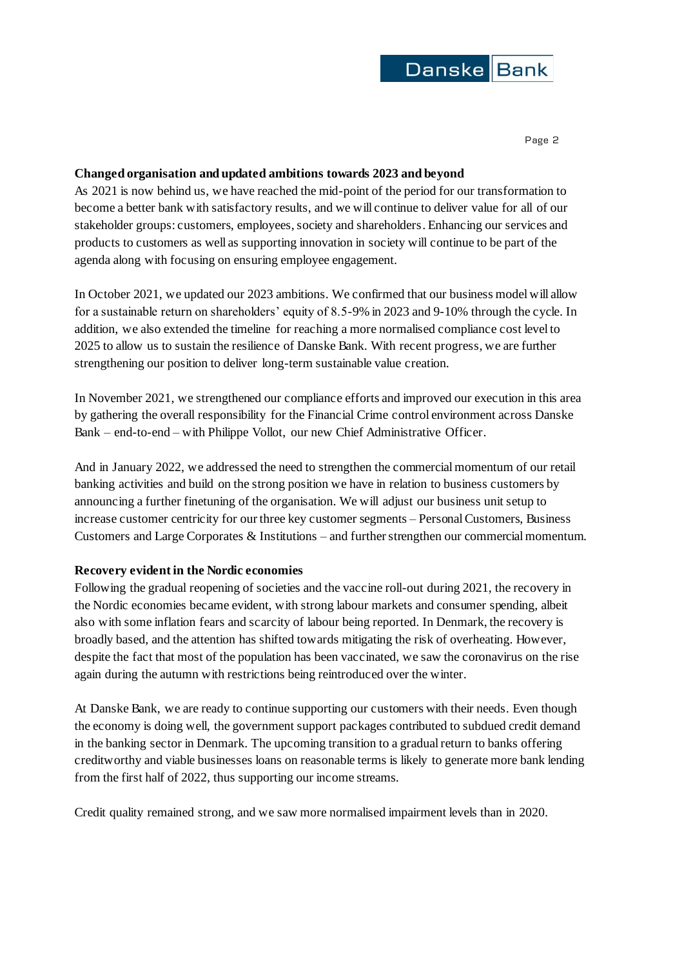

### **Changed organisation and updated ambitions towards 2023 and beyond**

As 2021 is now behind us, we have reached the mid-point of the period for our transformation to become a better bank with satisfactory results, and we will continue to deliver value for all of our stakeholder groups: customers, employees, society and shareholders. Enhancing our services and products to customers as well as supporting innovation in society will continue to be part of the agenda along with focusing on ensuring employee engagement.

In October 2021, we updated our 2023 ambitions. We confirmed that our business model will allow for a sustainable return on shareholders' equity of 8.5-9% in 2023 and 9-10% through the cycle. In addition, we also extended the timeline for reaching a more normalised compliance cost level to 2025 to allow us to sustain the resilience of Danske Bank. With recent progress, we are further strengthening our position to deliver long-term sustainable value creation.

In November 2021, we strengthened our compliance efforts and improved our execution in this area by gathering the overall responsibility for the Financial Crime control environment across Danske Bank – end-to-end – with Philippe Vollot, our new Chief Administrative Officer.

And in January 2022, we addressed the need to strengthen the commercial momentum of our retail banking activities and build on the strong position we have in relation to business customers by announcing a further finetuning of the organisation. We will adjust our business unit setup to increase customer centricity for our three key customer segments – Personal Customers, Business Customers and Large Corporates & Institutions – and further strengthen our commercial momentum.

#### **Recovery evident in the Nordic economies**

Following the gradual reopening of societies and the vaccine roll-out during 2021, the recovery in the Nordic economies became evident, with strong labour markets and consumer spending, albeit also with some inflation fears and scarcity of labour being reported. In Denmark, the recovery is broadly based, and the attention has shifted towards mitigating the risk of overheating. However, despite the fact that most of the population has been vaccinated, we saw the coronavirus on the rise again during the autumn with restrictions being reintroduced over the winter.

At Danske Bank, we are ready to continue supporting our customers with their needs. Even though the economy is doing well, the government support packages contributed to subdued credit demand in the banking sector in Denmark. The upcoming transition to a gradual return to banks offering creditworthy and viable businesses loans on reasonable terms is likely to generate more bank lending from the first half of 2022, thus supporting our income streams.

Credit quality remained strong, and we saw more normalised impairment levels than in 2020.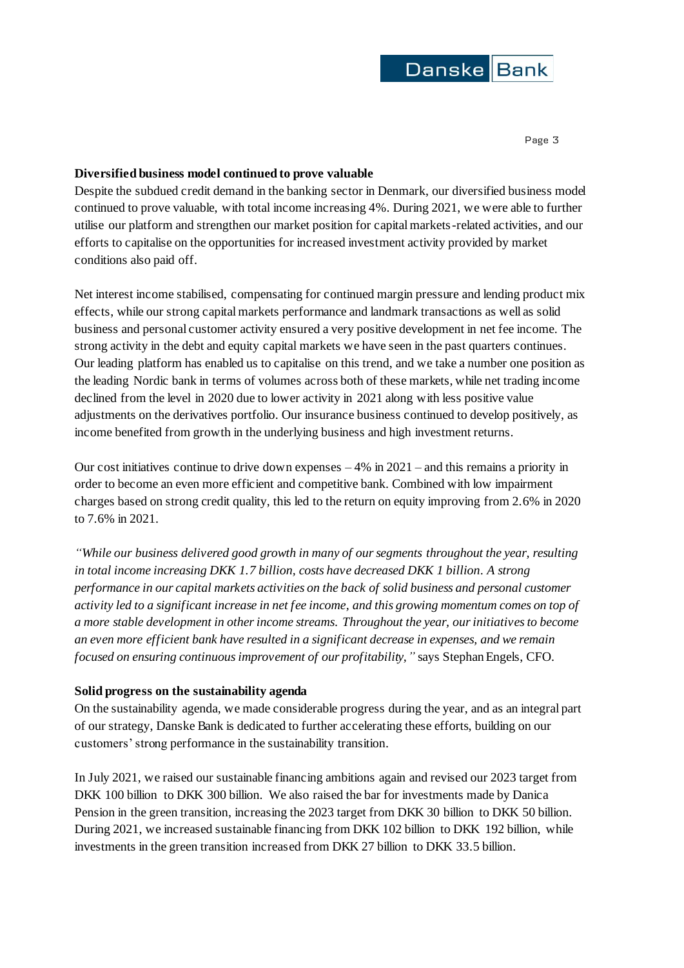

#### **Diversified business model continued to prove valuable**

Despite the subdued credit demand in the banking sector in Denmark, our diversified business model continued to prove valuable, with total income increasing 4%. During 2021, we were able to further utilise our platform and strengthen our market position for capital markets-related activities, and our efforts to capitalise on the opportunities for increased investment activity provided by market conditions also paid off.

Net interest income stabilised, compensating for continued margin pressure and lending product mix effects, while our strong capital markets performance and landmark transactions as well as solid business and personal customer activity ensured a very positive development in net fee income. The strong activity in the debt and equity capital markets we have seen in the past quarters continues. Our leading platform has enabled us to capitalise on this trend, and we take a number one position as the leading Nordic bank in terms of volumes across both of these markets, while net trading income declined from the level in 2020 due to lower activity in 2021 along with less positive value adjustments on the derivatives portfolio. Our insurance business continued to develop positively, as income benefited from growth in the underlying business and high investment returns.

Our cost initiatives continue to drive down expenses  $-4\%$  in 2021 – and this remains a priority in order to become an even more efficient and competitive bank. Combined with low impairment charges based on strong credit quality, this led to the return on equity improving from 2.6% in 2020 to 7.6% in 2021.

*"While our business delivered good growth in many of our segments throughout the year, resulting in total income increasing DKK 1.7 billion, costs have decreased DKK 1 billion. A strong performance in our capital markets activities on the back of solid business and personal customer activity led to a significant increase in net fee income, and this growing momentum comes on top of a more stable development in other income streams. Throughout the year, our initiatives to become an even more efficient bank have resulted in a significant decrease in expenses, and we remain focused on ensuring continuous improvement of our profitability,"* says Stephan Engels, CFO.

#### **Solid progress on the sustainability agenda**

On the sustainability agenda, we made considerable progress during the year, and as an integral part of our strategy, Danske Bank is dedicated to further accelerating these efforts, building on our customers' strong performance in the sustainability transition.

In July 2021, we raised our sustainable financing ambitions again and revised our 2023 target from DKK 100 billion to DKK 300 billion. We also raised the bar for investments made by Danica Pension in the green transition, increasing the 2023 target from DKK 30 billion to DKK 50 billion. During 2021, we increased sustainable financing from DKK 102 billion to DKK 192 billion, while investments in the green transition increased from DKK 27 billion to DKK 33.5 billion.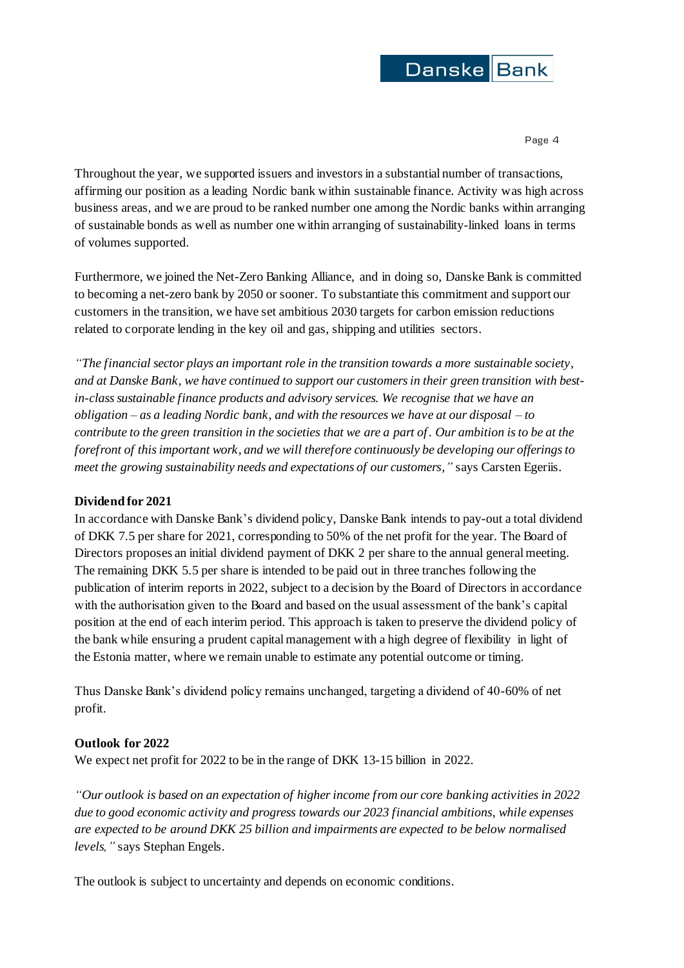

Throughout the year, we supported issuers and investors in a substantial number of transactions, affirming our position as a leading Nordic bank within sustainable finance. Activity was high across business areas, and we are proud to be ranked number one among the Nordic banks within arranging of sustainable bonds as well as number one within arranging of sustainability-linked loans in terms of volumes supported.

Furthermore, we joined the Net-Zero Banking Alliance, and in doing so, Danske Bank is committed to becoming a net-zero bank by 2050 or sooner. To substantiate this commitment and support our customers in the transition, we have set ambitious 2030 targets for carbon emission reductions related to corporate lending in the key oil and gas, shipping and utilities sectors.

*"The financial sector plays an important role in the transition towards a more sustainable society, and at Danske Bank, we have continued to support our customers in their green transition with bestin-classsustainable finance products and advisory services. We recognise that we have an obligation – as a leading Nordic bank, and with the resources we have at our disposal – to contribute to the green transition in the societies that we are a part of. Our ambition is to be at the forefront of this important work, and we will therefore continuously be developing our offerings to meet the growing sustainability needs and expectations of our customers,"* says Carsten Egeriis.

#### **Dividend for 2021**

In accordance with Danske Bank's dividend policy, Danske Bank intends to pay-out a total dividend of DKK 7.5 per share for 2021, corresponding to 50% of the net profit for the year. The Board of Directors proposes an initial dividend payment of DKK 2 per share to the annual general meeting. The remaining DKK 5.5 per share is intended to be paid out in three tranches following the publication of interim reports in 2022, subject to a decision by the Board of Directors in accordance with the authorisation given to the Board and based on the usual assessment of the bank's capital position at the end of each interim period. This approach is taken to preserve the dividend policy of the bank while ensuring a prudent capital management with a high degree of flexibility in light of the Estonia matter, where we remain unable to estimate any potential outcome or timing.

Thus Danske Bank's dividend policy remains unchanged, targeting a dividend of 40-60% of net profit.

## **Outlook for 2022**

We expect net profit for 2022 to be in the range of DKK 13-15 billion in 2022.

*"Our outlook is based on an expectation of higher income from our core banking activities in 2022 due to good economic activity and progress towards our 2023 financial ambitions, while expenses are expected to be around DKK 25 billion and impairments are expected to be below normalised levels,"* says Stephan Engels.

The outlook is subject to uncertainty and depends on economic conditions.